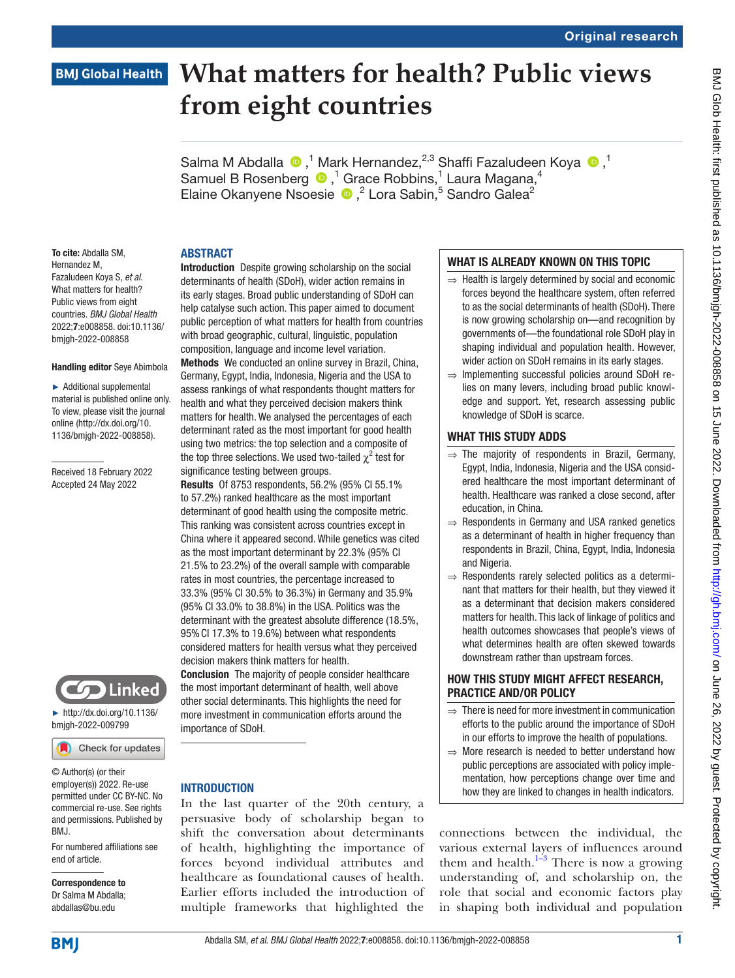## **BMJ Global Health**

# **What matters for health? Public views from eight countries**

Salma M Abdalla  $\bullet$ ,<sup>1</sup> Mark Hernandez,<sup>2,3</sup> Shaffi Fazaludeen Koya  $\bullet$ ,<sup>1</sup> Samuel B Rosenberg  $\bigcirc$ ,<sup>1</sup> Grace Robbins,<sup>1</sup> Laura Magana,<sup>4</sup> ElaineOkanyene Nsoesie D,<sup>2</sup> Lora Sabin,<sup>5</sup> Sandro Galea<sup>2</sup>

## ABSTRACT

To cite: Abdalla SM, Hernandez M, Fazaludeen Koya S, *et al*. What matters for health? Public views from eight countries. *BMJ Global Health* 2022;7:e008858. doi:10.1136/ bmjgh-2022-008858

#### Handling editor Seye Abimbola

► Additional supplemental material is published online only. To view, please visit the journal online ([http://dx.doi.org/10.](http://dx.doi.org/10.1136/bmjgh-2022-008858) [1136/bmjgh-2022-008858](http://dx.doi.org/10.1136/bmjgh-2022-008858)).

Received 18 February 2022 Accepted 24 May 2022



► [http://dx.doi.org/10.1136/](http://dx.doi.org/10.1136/bmjgh-2022-009799) [bmjgh-2022-009799](http://dx.doi.org/10.1136/bmjgh-2022-009799)

Check for updates

© Author(s) (or their employer(s)) 2022. Re-use permitted under CC BY-NC. No commercial re-use. See rights and permissions. Published by BMJ.

For numbered affiliations see end of article.

Correspondence to Dr Salma M Abdalla; abdallas@bu.edu

Introduction Despite growing scholarship on the social determinants of health (SDoH), wider action remains in its early stages. Broad public understanding of SDoH can help catalyse such action. This paper aimed to document public perception of what matters for health from countries with broad geographic, cultural, linguistic, population composition, language and income level variation. Methods We conducted an online survey in Brazil, China, Germany, Egypt, India, Indonesia, Nigeria and the USA to assess rankings of what respondents thought matters for health and what they perceived decision makers think matters for health. We analysed the percentages of each determinant rated as the most important for good health using two metrics: the top selection and a composite of the top three selections. We used two-tailed  $\chi^2$  test for significance testing between groups.

Results Of 8753 respondents, 56.2% (95% CI 55.1% to 57.2%) ranked healthcare as the most important determinant of good health using the composite metric. This ranking was consistent across countries except in China where it appeared second. While genetics was cited as the most important determinant by 22.3% (95% CI 21.5% to 23.2%) of the overall sample with comparable rates in most countries, the percentage increased to 33.3% (95% CI 30.5% to 36.3%) in Germany and 35.9% (95% CI 33.0% to 38.8%) in the USA. Politics was the determinant with the greatest absolute difference (18.5%, 95%CI 17.3% to 19.6%) between what respondents considered matters for health versus what they perceived decision makers think matters for health.

Conclusion The majority of people consider healthcare the most important determinant of health, well above other social determinants. This highlights the need for more investment in communication efforts around the importance of SDoH.

## **INTRODUCTION**

In the last quarter of the 20th century, a persuasive body of scholarship began to shift the conversation about determinants of health, highlighting the importance of forces beyond individual attributes and healthcare as foundational causes of health. Earlier efforts included the introduction of multiple frameworks that highlighted the

## WHAT IS ALREADY KNOWN ON THIS TOPIC

- $\Rightarrow$  Health is largely determined by social and economic forces beyond the healthcare system, often referred to as the social determinants of health (SDoH). There is now growing scholarship on—and recognition by governments of—the foundational role SDoH play in shaping individual and population health. However, wider action on SDoH remains in its early stages.
- ⇒ Implementing successful policies around SDoH relies on many levers, including broad public knowledge and support. Yet, research assessing public knowledge of SDoH is scarce.

## WHAT THIS STUDY ADDS

- $\Rightarrow$  The majority of respondents in Brazil, Germany, Egypt, India, Indonesia, Nigeria and the USA considered healthcare the most important determinant of health. Healthcare was ranked a close second, after education, in China.
- ⇒ Respondents in Germany and USA ranked genetics as a determinant of health in higher frequency than respondents in Brazil, China, Egypt, India, Indonesia and Nigeria.
- ⇒ Respondents rarely selected politics as a determinant that matters for their health, but they viewed it as a determinant that decision makers considered matters for health. This lack of linkage of politics and health outcomes showcases that people's views of what determines health are often skewed towards downstream rather than upstream forces.

## HOW THIS STUDY MIGHT AFFECT RESEARCH, PRACTICE AND/OR POLICY

- $\Rightarrow$  There is need for more investment in communication efforts to the public around the importance of SDoH in our efforts to improve the health of populations.
- $\Rightarrow$  More research is needed to better understand how public perceptions are associated with policy implementation, how perceptions change over time and how they are linked to changes in health indicators.

connections between the individual, the various external layers of influences around them and health. $1\frac{1}{3}$  There is now a growing understanding of, and scholarship on, the role that social and economic factors play in shaping both individual and population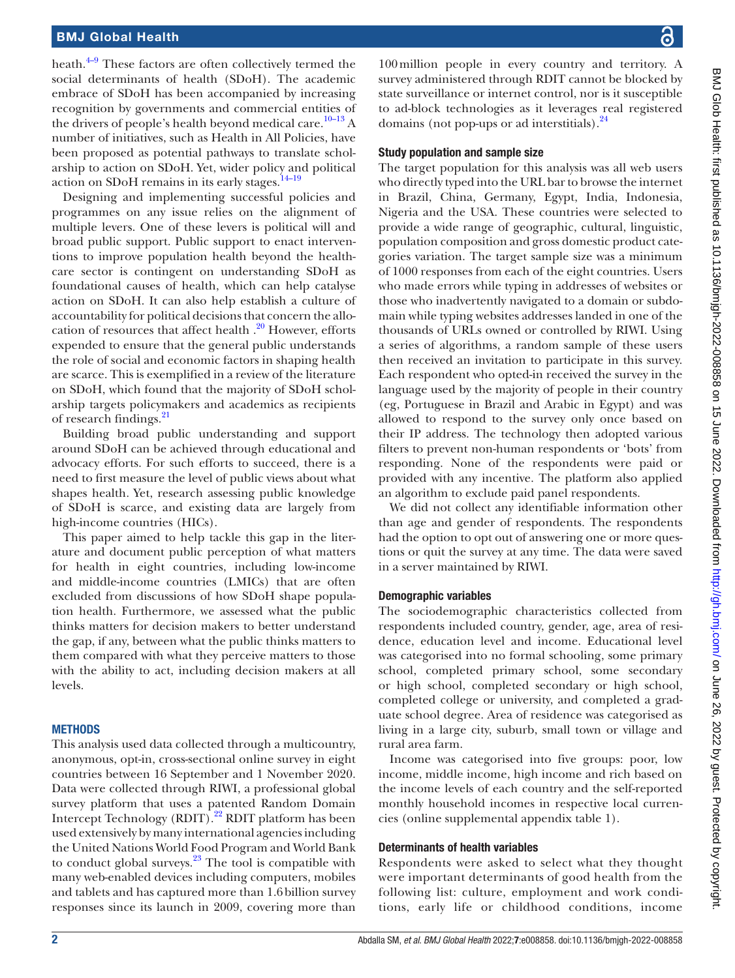## BMJ Global Health

heath. $4-9$  These factors are often collectively termed the social determinants of health (SDoH). The academic embrace of SDoH has been accompanied by increasing recognition by governments and commercial entities of the drivers of people's health beyond medical care.<sup>10–13</sup> A number of initiatives, such as Health in All Policies, have been proposed as potential pathways to translate scholarship to action on SDoH. Yet, wider policy and political action on SDoH remains in its early stages[.14–19](#page-9-1)

Designing and implementing successful policies and programmes on any issue relies on the alignment of multiple levers. One of these levers is political will and broad public support. Public support to enact interventions to improve population health beyond the healthcare sector is contingent on understanding SDoH as foundational causes of health, which can help catalyse action on SDoH. It can also help establish a culture of accountability for political decisions that concern the allocation of resources that affect health  $.20$  However, efforts expended to ensure that the general public understands the role of social and economic factors in shaping health are scarce. This is exemplified in a review of the literature on SDoH, which found that the majority of SDoH scholarship targets policymakers and academics as recipients of research findings.<sup>21</sup>

Building broad public understanding and support around SDoH can be achieved through educational and advocacy efforts. For such efforts to succeed, there is a need to first measure the level of public views about what shapes health. Yet, research assessing public knowledge of SDoH is scarce, and existing data are largely from high-income countries (HICs).

This paper aimed to help tackle this gap in the literature and document public perception of what matters for health in eight countries, including low-income and middle-income countries (LMICs) that are often excluded from discussions of how SDoH shape population health. Furthermore, we assessed what the public thinks matters for decision makers to better understand the gap, if any, between what the public thinks matters to them compared with what they perceive matters to those with the ability to act, including decision makers at all levels.

#### **METHODS**

This analysis used data collected through a multicountry, anonymous, opt-in, cross-sectional online survey in eight countries between 16 September and 1 November 2020. Data were collected through RIWI, a professional global survey platform that uses a patented Random Domain Intercept Technology (RDIT).<sup>22</sup> RDIT platform has been used extensively by many international agencies including the United Nations World Food Program and World Bank to conduct global surveys. $^{23}$  The tool is compatible with many web-enabled devices including computers, mobiles and tablets and has captured more than 1.6billion survey responses since its launch in 2009, covering more than

100million people in every country and territory. A survey administered through RDIT cannot be blocked by state surveillance or internet control, nor is it susceptible to ad-block technologies as it leverages real registered domains (not pop-ups or ad interstitials).<sup>24</sup>

#### Study population and sample size

The target population for this analysis was all web users who directly typed into the URL bar to browse the internet in Brazil, China, Germany, Egypt, India, Indonesia, Nigeria and the USA. These countries were selected to provide a wide range of geographic, cultural, linguistic, population composition and gross domestic product categories variation. The target sample size was a minimum of 1000 responses from each of the eight countries. Users who made errors while typing in addresses of websites or those who inadvertently navigated to a domain or subdomain while typing websites addresses landed in one of the thousands of URLs owned or controlled by RIWI. Using a series of algorithms, a random sample of these users then received an invitation to participate in this survey. Each respondent who opted-in received the survey in the language used by the majority of people in their country (eg, Portuguese in Brazil and Arabic in Egypt) and was allowed to respond to the survey only once based on their IP address. The technology then adopted various filters to prevent non-human respondents or 'bots' from responding. None of the respondents were paid or provided with any incentive. The platform also applied an algorithm to exclude paid panel respondents.

We did not collect any identifiable information other than age and gender of respondents. The respondents had the option to opt out of answering one or more questions or quit the survey at any time. The data were saved in a server maintained by RIWI.

## Demographic variables

The sociodemographic characteristics collected from respondents included country, gender, age, area of residence, education level and income. Educational level was categorised into no formal schooling, some primary school, completed primary school, some secondary or high school, completed secondary or high school, completed college or university, and completed a graduate school degree. Area of residence was categorised as living in a large city, suburb, small town or village and rural area farm.

Income was categorised into five groups: poor, low income, middle income, high income and rich based on the income levels of each country and the self-reported monthly household incomes in respective local currencies ([online supplemental appendix table 1](https://dx.doi.org/10.1136/bmjgh-2022-008858)).

#### Determinants of health variables

Respondents were asked to select what they thought were important determinants of good health from the following list: culture, employment and work conditions, early life or childhood conditions, income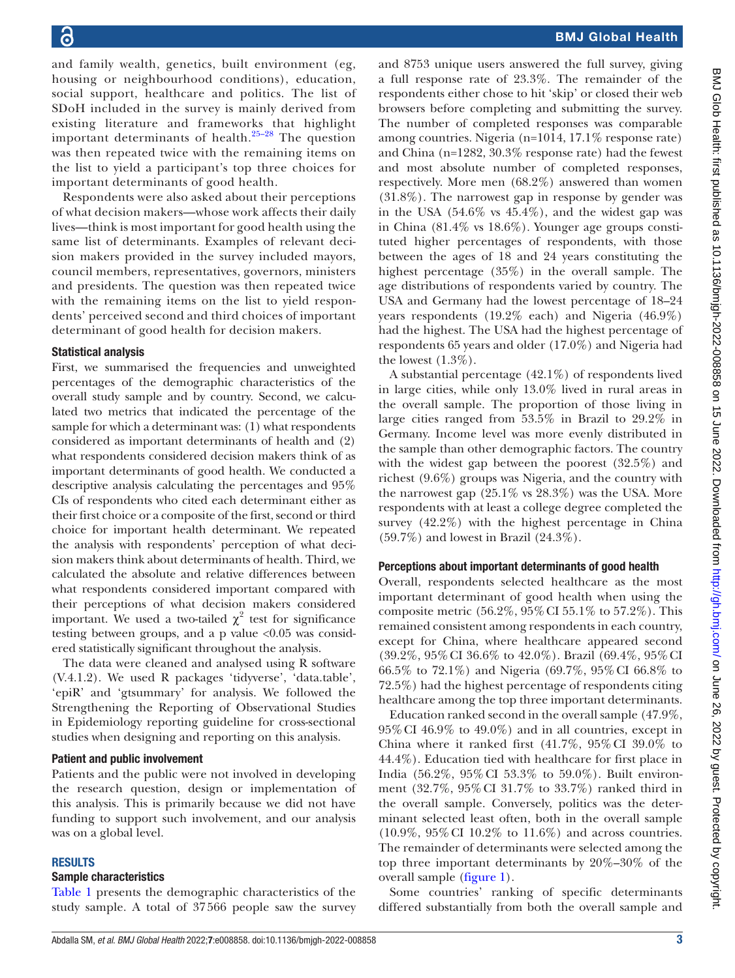and family wealth, genetics, built environment (eg, housing or neighbourhood conditions), education, social support, healthcare and politics. The list of SDoH included in the survey is mainly derived from existing literature and frameworks that highlight important determinants of health.[25–28](#page-9-7) The question was then repeated twice with the remaining items on the list to yield a participant's top three choices for important determinants of good health.

Respondents were also asked about their perceptions of what decision makers—whose work affects their daily lives—think is most important for good health using the same list of determinants. Examples of relevant decision makers provided in the survey included mayors, council members, representatives, governors, ministers and presidents. The question was then repeated twice with the remaining items on the list to yield respondents' perceived second and third choices of important determinant of good health for decision makers.

#### Statistical analysis

First, we summarised the frequencies and unweighted percentages of the demographic characteristics of the overall study sample and by country. Second, we calculated two metrics that indicated the percentage of the sample for which a determinant was: (1) what respondents considered as important determinants of health and (2) what respondents considered decision makers think of as important determinants of good health. We conducted a descriptive analysis calculating the percentages and 95% CIs of respondents who cited each determinant either as their first choice or a composite of the first, second or third choice for important health determinant. We repeated the analysis with respondents' perception of what decision makers think about determinants of health. Third, we calculated the absolute and relative differences between what respondents considered important compared with their perceptions of what decision makers considered important. We used a two-tailed  $\chi^2$  test for significance testing between groups, and a p value  $\langle 0.05 \rangle$  was considered statistically significant throughout the analysis.

The data were cleaned and analysed using R software (V.4.1.2). We used R packages 'tidyverse', 'data.table', 'epiR' and 'gtsummary' for analysis. We followed the Strengthening the Reporting of Observational Studies in Epidemiology reporting guideline for cross-sectional studies when designing and reporting on this analysis.

#### Patient and public involvement

Patients and the public were not involved in developing the research question, design or implementation of this analysis. This is primarily because we did not have funding to support such involvement, and our analysis was on a global level.

#### RESULTS

#### Sample characteristics

[Table](#page-3-0) 1 presents the demographic characteristics of the study sample. A total of 37566 people saw the survey

and 8753 unique users answered the full survey, giving a full response rate of 23.3%. The remainder of the respondents either chose to hit 'skip' or closed their web browsers before completing and submitting the survey. The number of completed responses was comparable among countries. Nigeria (n=1014, 17.1% response rate) and China (n=1282, 30.3% response rate) had the fewest and most absolute number of completed responses, respectively. More men (68.2%) answered than women (31.8%). The narrowest gap in response by gender was in the USA (54.6% vs 45.4%), and the widest gap was in China (81.4% vs 18.6%). Younger age groups constituted higher percentages of respondents, with those between the ages of 18 and 24 years constituting the highest percentage (35%) in the overall sample. The age distributions of respondents varied by country. The USA and Germany had the lowest percentage of 18–24 years respondents (19.2% each) and Nigeria (46.9%) had the highest. The USA had the highest percentage of respondents 65 years and older (17.0%) and Nigeria had the lowest  $(1.3\%)$ .

A substantial percentage (42.1%) of respondents lived in large cities, while only 13.0% lived in rural areas in the overall sample. The proportion of those living in large cities ranged from 53.5% in Brazil to 29.2% in Germany. Income level was more evenly distributed in the sample than other demographic factors. The country with the widest gap between the poorest (32.5%) and richest (9.6%) groups was Nigeria, and the country with the narrowest gap  $(25.1\% \text{ vs } 28.3\%)$  was the USA. More respondents with at least a college degree completed the survey (42.2%) with the highest percentage in China (59.7%) and lowest in Brazil (24.3%).

#### Perceptions about important determinants of good health

Overall, respondents selected healthcare as the most important determinant of good health when using the composite metric (56.2%, 95%CI 55.1% to 57.2%). This remained consistent among respondents in each country, except for China, where healthcare appeared second (39.2%, 95%CI 36.6% to 42.0%). Brazil (69.4%, 95%CI 66.5% to 72.1%) and Nigeria (69.7%, 95%CI 66.8% to 72.5%) had the highest percentage of respondents citing healthcare among the top three important determinants.

Education ranked second in the overall sample (47.9%, 95%CI 46.9% to 49.0%) and in all countries, except in China where it ranked first  $(41.7\%, 95\% \text{ CI } 39.0\%$  to 44.4%). Education tied with healthcare for first place in India (56.2%, 95%CI 53.3% to 59.0%). Built environment (32.7%, 95%CI 31.7% to 33.7%) ranked third in the overall sample. Conversely, politics was the determinant selected least often, both in the overall sample (10.9%, 95%CI 10.2% to 11.6%) and across countries. The remainder of determinants were selected among the top three important determinants by 20%–30% of the overall sample [\(figure](#page-4-0) 1).

Some countries' ranking of specific determinants differed substantially from both the overall sample and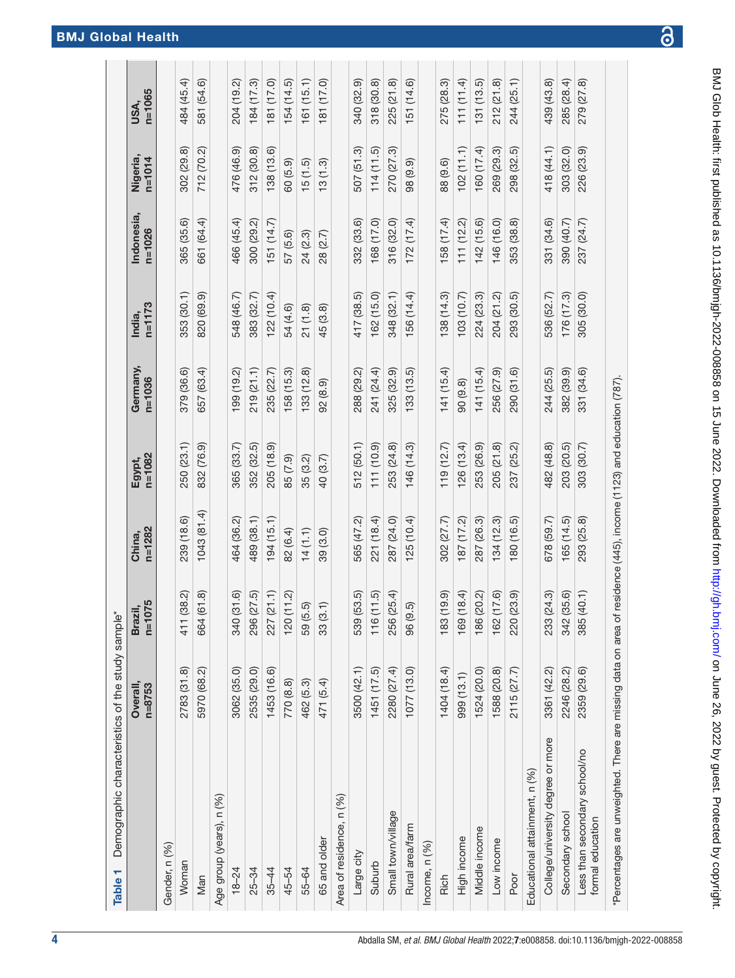<span id="page-3-0"></span>

| Demographic characteristics of the study sample*<br>Table 1    |                    |                                    |                                                     |                      |                        |                      |                          |                        |                    |
|----------------------------------------------------------------|--------------------|------------------------------------|-----------------------------------------------------|----------------------|------------------------|----------------------|--------------------------|------------------------|--------------------|
|                                                                | Overall,<br>n=8753 | $n = 1075$<br><b>Brazil</b>        | $n = 1282$<br>China,                                | $n = 1082$<br>Egypt, | Germany,<br>$n = 1036$ | $n = 1173$<br>India, | Indonesia,<br>$n = 1026$ | Nigeria,<br>$n = 1014$ | $n = 1065$<br>USA, |
| Gender, n (%)                                                  |                    |                                    |                                                     |                      |                        |                      |                          |                        |                    |
| Woman                                                          | 2783 (31.8)        | 411 (38.2)                         | 239 (18.6)                                          | 250 (23.1)           | 379 (36.6)             | 353 (30.1)           | 365 (35.6)               | 302 (29.8)             | 484 (45.4)         |
| Man                                                            | 5970 (68.2)        | 664 (61.8)                         | 1043 (81.4)                                         | 832 (76.9)           | 657 (63.4)             | 820 (69.9)           | 661 (64.4)               | 712 (70.2)             | 581 (54.6)         |
| Age group (years), n (%)                                       |                    |                                    |                                                     |                      |                        |                      |                          |                        |                    |
| $18 - 24$                                                      | 3062 (35.0)        | 340 (31.6)                         | 464 (36.2)                                          | 365 (33.7)           | 199 (19.2)             | 548 (46.7)           | 466 (45.4)               | 476 (46.9)             | 204 (19.2)         |
| $25 - 34$                                                      | 2535 (29.0)        | 296 (27.5)                         | 489 (38.1)                                          | 352 (32.5)           | 219 (21.1)             | 383 (32.7)           | 300 (29.2)               | 312 (30.8)             | 184 (17.3)         |
| $35 - 44$                                                      | 1453 (16.6)        | 227 (21.1)                         | 194(15.1)                                           | 205 (18.9)           | 235 (22.7)             | 122 (10.4)           | 151 (14.7)               | 138 (13.6)             | 181 (17.0)         |
| 45-54                                                          | 770 (8.8)          | 120(11.2)                          | 82 (6.4)                                            | 85 (7.9)             | 158 (15.3)             | 54 (4.6)             | 57 (5.6)                 | 60(5.9)                | 154 (14.5)         |
| 55-64                                                          | 462 (5.3)          | 59 (5.5)                           | (1.1)                                               | 35 (3.2)             | 133 (12.8)             | 21(1.8)              | 24 (2.3)                 | 15(1.5)                | 161(15.1)          |
| 65 and older                                                   | 471 (5.4)          | $\widehat{\hphantom{m}}$<br>33 (3. | 39 (3.0)                                            | 40 (3.7)             | 92 (8.9)               | 45 (3.8)             | 28 (2.7)                 | 13(1.3)                | 181 (17.0)         |
| Area of residence, n (%)                                       |                    |                                    |                                                     |                      |                        |                      |                          |                        |                    |
| Large city                                                     | 3500 (42.1)        | 539 (53.5)                         | 565 (47.2)                                          | 512 (50.1)           | 288 (29.2)             | 417 (38.5)           | 332 (33.6)               | 507 (51.3)             | 340 (32.9)         |
| Suburb                                                         | 1451(17.5)         | 116(11.5)                          | 221 (18.4)                                          | 111(10.9)            | 241 (24.4)             | 162(15.0)            | 168 (17.0)               | 114(11.5)              | 318 (30.8)         |
| Small town/village                                             | 2280 (27.4)        | 256 (25.4)                         | 287 (24.0)                                          | 253 (24.8)           | 325 (32.9)             | 348 (32.1)           | 316 (32.0)               | 270 (27.3)             | 225 (21.8)         |
| Rural area/farm                                                | 1077 (13.0)        | 96 (9.5)                           | 125(10.4)                                           | 146 (14.3)           | (133(13.5))            | 156 (14.4)           | 172(17.4)                | 98 (9.9)               | 151 (14.6)         |
| Income, n (%)                                                  |                    |                                    |                                                     |                      |                        |                      |                          |                        |                    |
| Rich                                                           | 1404 (18.4)        | (6.61)<br>183(1                    | 302 (27.7)                                          | 119(12.7)            | 141 (15.4)             | 138(14.3)            | 158 (17.4)               | 88 (9.6)               | 275 (28.3)         |
| High income                                                    | 999 (13.1)         | (8.4)<br>169(1                     | 187 (17.2)                                          | 126(13.4)            | 90 (9.8)               | 103(10.7)            | 111(12.2)                | 102(1.1)               | 111(11.4)          |
| Middle income                                                  | 1524 (20.0)        | 186 (20.2)                         | 287 (26.3)                                          | 253 (26.9)           | 141(15.4)              | 224 (23.3)           | 142 (15.6)               | 160 (17.4)             | 131(13.5)          |
| Low income                                                     | 1588 (20.8)        | 162 (17.6)                         | 134 (12.3)                                          | 205 (21.8)           | 256 (27.9)             | 204 (21.2)           | 146 (16.0)               | 269 (29.3)             | 212 (21.8)         |
| Poor                                                           | 2115 (27.7)        | 220 (23.9)                         | 180 (16.5)                                          | 237 (25.2)           | 290 (31.6)             | 293 (30.5)           | 353 (38.8)               | 298 (32.5)             | 244 (25.1)         |
| Educational attainment, n (%)                                  |                    |                                    |                                                     |                      |                        |                      |                          |                        |                    |
| College/university degree or more                              | 3361 (42.2)        | 233 (24.3)                         | 678 (59.7)                                          | 482 (48.8)           | 244 (25.5)             | 536 (52.7)           | 331 (34.6)               | 418 (44.1)             | 439 (43.8)         |
| Secondary school                                               | 2246 (28.2)        | 342 (35.6)                         | 165(14.5)                                           | 203 (20.5)           | 382 (39.9)             | 176(17.3)            | 390 (40.7)               | 303 (32.0)             | 285 (28.4)         |
| Less than secondary school/no<br>formal education              | 2359 (29.6)        | 385 (40.1)                         | 293 (25.8)                                          | 303 (30.7)           | 331 (34.6)             | 305 (30.0)           | 237 (24.7)               | 226 (23.9)             | 279 (27.8)         |
| *Percentages are unweighted. There are missing data on area of |                    |                                    | residence (445), income (1123) and education (787). |                      |                        |                      |                          |                        |                    |

## BMJ Global Health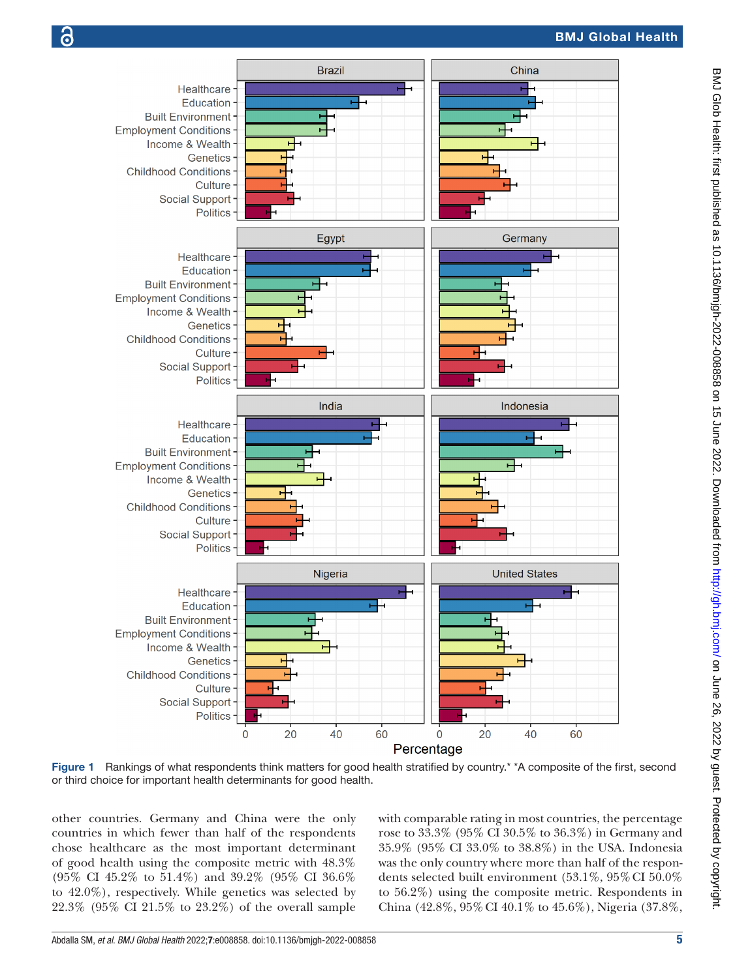

<span id="page-4-0"></span>Figure 1 Rankings of what respondents think matters for good health stratified by country.<sup>\*</sup> A composite of the first, second or third choice for important health determinants for good health.

other countries. Germany and China were the only countries in which fewer than half of the respondents chose healthcare as the most important determinant of good health using the composite metric with 48.3% (95% CI 45.2% to 51.4%) and 39.2% (95% CI 36.6% to 42.0%), respectively. While genetics was selected by 22.3% (95% CI 21.5% to 23.2%) of the overall sample with comparable rating in most countries, the percentage rose to 33.3% (95% CI 30.5% to 36.3%) in Germany and 35.9% (95% CI 33.0% to 38.8%) in the USA. Indonesia was the only country where more than half of the respondents selected built environment (53.1%, 95%CI 50.0% to 56.2%) using the composite metric. Respondents in China (42.8%, 95%CI 40.1% to 45.6%), Nigeria (37.8%,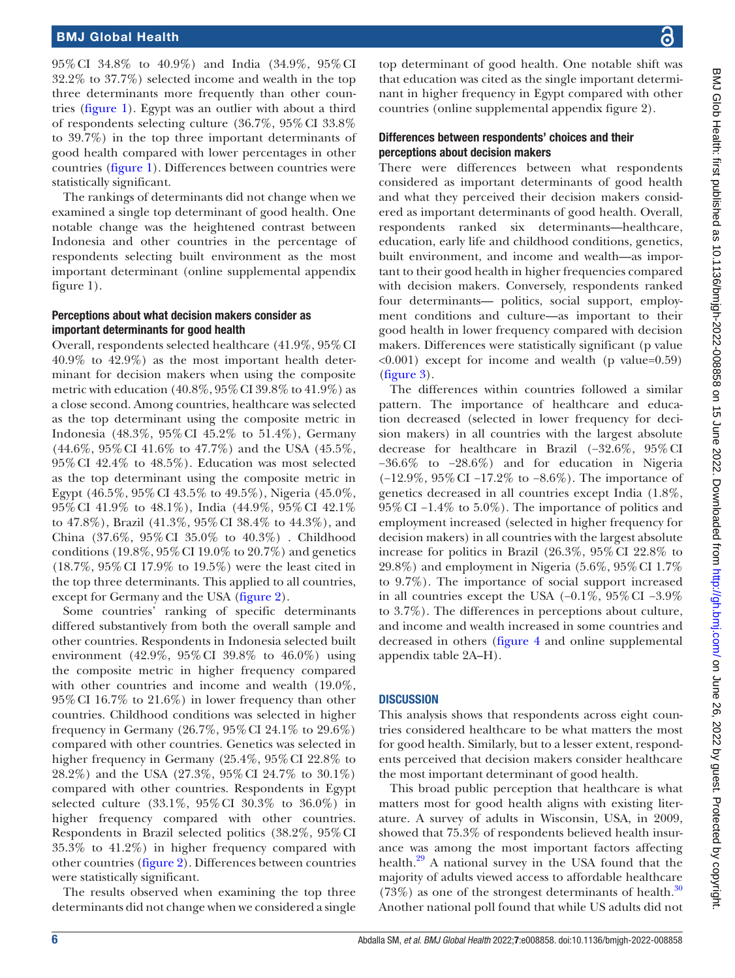95%CI 34.8% to 40.9%) and India (34.9%, 95%CI 32.2% to 37.7%) selected income and wealth in the top three determinants more frequently than other countries ([figure](#page-4-0) 1). Egypt was an outlier with about a third of respondents selecting culture (36.7%, 95%CI 33.8% to 39.7%) in the top three important determinants of good health compared with lower percentages in other countries ([figure](#page-4-0) 1). Differences between countries were statistically significant.

The rankings of determinants did not change when we examined a single top determinant of good health. One notable change was the heightened contrast between Indonesia and other countries in the percentage of respondents selecting built environment as the most important determinant [\(online supplemental appendix](https://dx.doi.org/10.1136/bmjgh-2022-008858)  [figure 1\)](https://dx.doi.org/10.1136/bmjgh-2022-008858).

## Perceptions about what decision makers consider as important determinants for good health

Overall, respondents selected healthcare (41.9%, 95%CI 40.9% to 42.9%) as the most important health determinant for decision makers when using the composite metric with education (40.8%, 95%CI 39.8% to 41.9%) as a close second. Among countries, healthcare was selected as the top determinant using the composite metric in Indonesia (48.3%, 95%CI 45.2% to 51.4%), Germany (44.6%, 95%CI 41.6% to 47.7%) and the USA (45.5%, 95%CI 42.4% to 48.5%). Education was most selected as the top determinant using the composite metric in Egypt (46.5%, 95%CI 43.5% to 49.5%), Nigeria (45.0%, 95%CI 41.9% to 48.1%), India (44.9%, 95%CI 42.1% to 47.8%), Brazil (41.3%, 95%CI 38.4% to 44.3%), and China (37.6%, 95%CI 35.0% to 40.3%) . Childhood conditions (19.8%, 95% CI 19.0% to 20.7%) and genetics (18.7%, 95%CI 17.9% to 19.5%) were the least cited in the top three determinants. This applied to all countries, except for Germany and the USA [\(figure](#page-6-0) 2).

Some countries' ranking of specific determinants differed substantively from both the overall sample and other countries. Respondents in Indonesia selected built environment (42.9%, 95%CI 39.8% to 46.0%) using the composite metric in higher frequency compared with other countries and income and wealth (19.0%, 95%CI 16.7% to 21.6%) in lower frequency than other countries. Childhood conditions was selected in higher frequency in Germany (26.7%, 95%CI 24.1% to 29.6%) compared with other countries. Genetics was selected in higher frequency in Germany (25.4%, 95% CI 22.8% to 28.2%) and the USA (27.3%, 95%CI 24.7% to 30.1%) compared with other countries. Respondents in Egypt selected culture (33.1%, 95%CI 30.3% to 36.0%) in higher frequency compared with other countries. Respondents in Brazil selected politics (38.2%, 95%CI 35.3% to 41.2%) in higher frequency compared with other countries [\(figure](#page-6-0) 2). Differences between countries were statistically significant.

The results observed when examining the top three determinants did not change when we considered a single

top determinant of good health. One notable shift was that education was cited as the single important determinant in higher frequency in Egypt compared with other countries ([online supplemental appendix figure 2\)](https://dx.doi.org/10.1136/bmjgh-2022-008858).

## Differences between respondents' choices and their perceptions about decision makers

There were differences between what respondents considered as important determinants of good health and what they perceived their decision makers considered as important determinants of good health. Overall, respondents ranked six determinants—healthcare, education, early life and childhood conditions, genetics, built environment, and income and wealth—as important to their good health in higher frequencies compared with decision makers. Conversely, respondents ranked four determinants— politics, social support, employment conditions and culture—as important to their good health in lower frequency compared with decision makers. Differences were statistically significant (p value <0.001) except for income and wealth (p value=0.59) [\(figure](#page-7-0) 3).

The differences within countries followed a similar pattern. The importance of healthcare and education decreased (selected in lower frequency for decision makers) in all countries with the largest absolute decrease for healthcare in Brazil (−32.6%, 95%CI −36.6% to −28.6%) and for education in Nigeria (−12.9%, 95%CI −17.2% to −8.6%). The importance of genetics decreased in all countries except India (1.8%, 95%CI −1.4% to 5.0%). The importance of politics and employment increased (selected in higher frequency for decision makers) in all countries with the largest absolute increase for politics in Brazil (26.3%, 95%CI 22.8% to 29.8%) and employment in Nigeria  $(5.6\%, 95\% \text{ CI } 1.7\%$ to 9.7%). The importance of social support increased in all countries except the USA (−0.1%, 95%CI −3.9% to 3.7%). The differences in perceptions about culture, and income and wealth increased in some countries and decreased in others ([figure](#page-7-1) 4 and [online supplemental](https://dx.doi.org/10.1136/bmjgh-2022-008858) [appendix table 2A–H\)](https://dx.doi.org/10.1136/bmjgh-2022-008858).

## **DISCUSSION**

This analysis shows that respondents across eight countries considered healthcare to be what matters the most for good health. Similarly, but to a lesser extent, respondents perceived that decision makers consider healthcare the most important determinant of good health.

This broad public perception that healthcare is what matters most for good health aligns with existing literature. A survey of adults in Wisconsin, USA, in 2009, showed that 75.3% of respondents believed health insurance was among the most important factors affecting health[.29](#page-9-8) A national survey in the USA found that the majority of adults viewed access to affordable healthcare  $(73\%)$  as one of the strongest determinants of health.<sup>[30](#page-9-9)</sup> Another national poll found that while US adults did not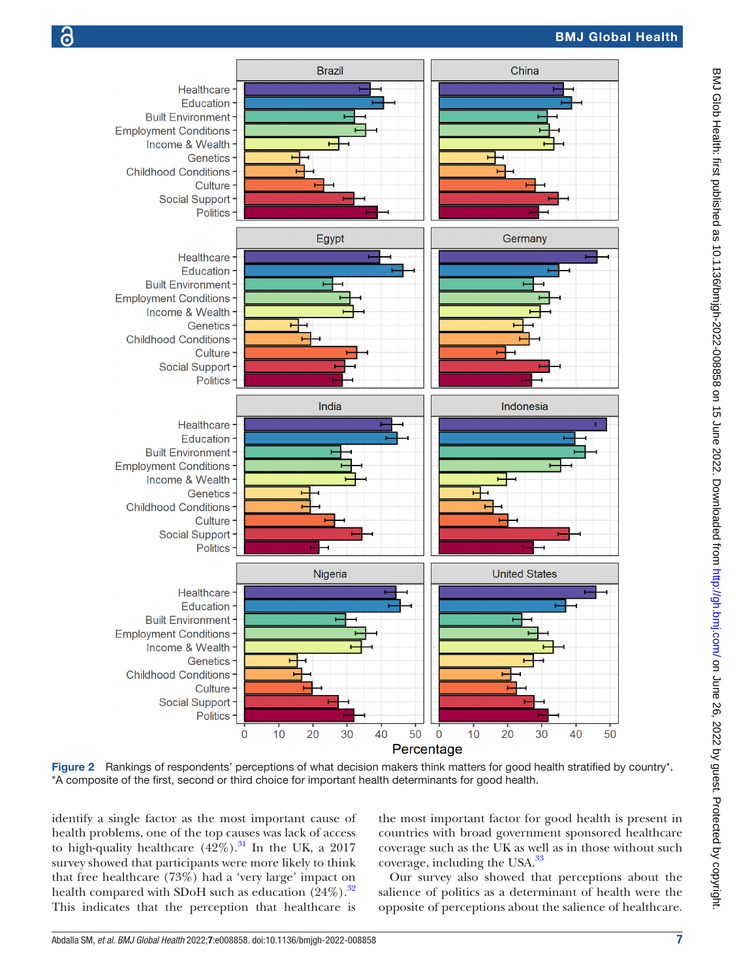



<span id="page-6-0"></span>Figure 2 Rankings of respondents' perceptions of what decision makers think matters for good health stratified by country\*. \*A composite of the first, second or third choice for important health determinants for good health.

identify a single factor as the most important cause of health problems, one of the top causes was lack of access to high-quality healthcare  $(42\%)$ .<sup>31</sup> In the UK, a 2017 survey showed that participants were more likely to think that free healthcare (73%) had a 'very large' impact on health compared with SDoH such as education  $(24\%)$ .<sup>[32](#page-9-11)</sup> This indicates that the perception that healthcare is

the most important factor for good health is present in countries with broad government sponsored healthcare coverage such as the UK as well as in those without such coverage, including the USA.<sup>[33](#page-9-12)</sup>

Our survey also showed that perceptions about the salience of politics as a determinant of health were the opposite of perceptions about the salience of healthcare.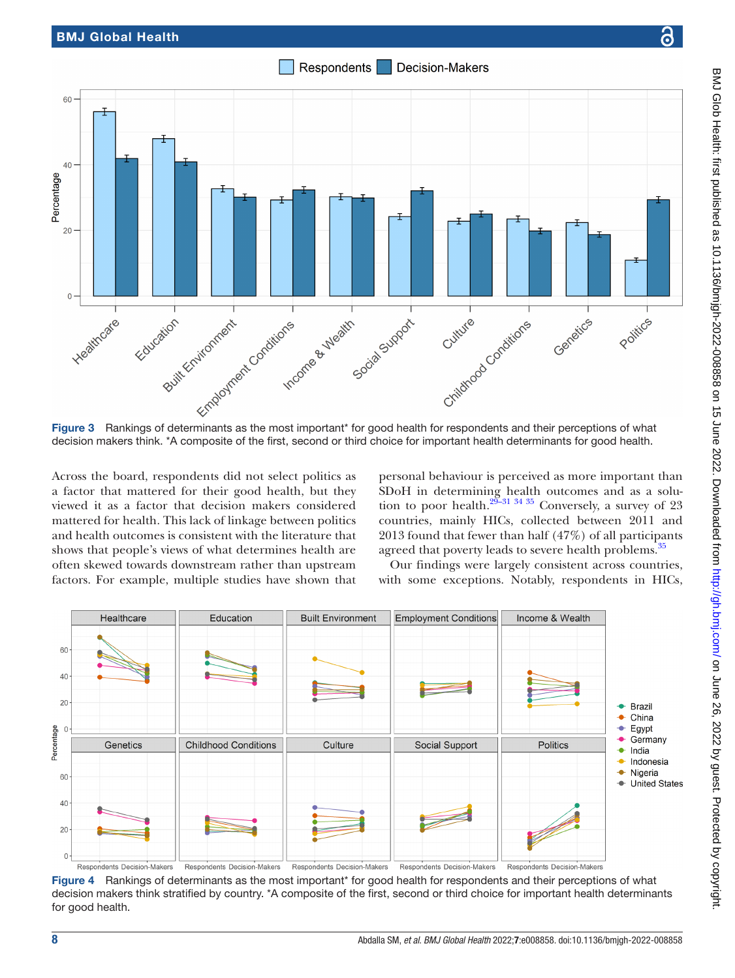Respondents Decision-Makers



<span id="page-7-0"></span>Figure 3 Rankings of determinants as the most important\* for good health for respondents and their perceptions of what decision makers think. \*A composite of the first, second or third choice for important health determinants for good health.

Across the board, respondents did not select politics as a factor that mattered for their good health, but they viewed it as a factor that decision makers considered mattered for health. This lack of linkage between politics and health outcomes is consistent with the literature that shows that people's views of what determines health are often skewed towards downstream rather than upstream factors. For example, multiple studies have shown that personal behaviour is perceived as more important than SDoH in determining health outcomes and as a solution to poor health.<sup>29–31</sup> 34<sup>35</sup> Conversely, a survey of 23 countries, mainly HICs, collected between 2011 and 2013 found that fewer than half (47%) of all participants agreed that poverty leads to severe health problems.<sup>35</sup>

Our findings were largely consistent across countries, with some exceptions. Notably, respondents in HICs,



<span id="page-7-1"></span>Figure 4 Rankings of determinants as the most important\* for good health for respondents and their perceptions of what decision makers think stratified by country. \*A composite of the first, second or third choice for important health determinants for good health.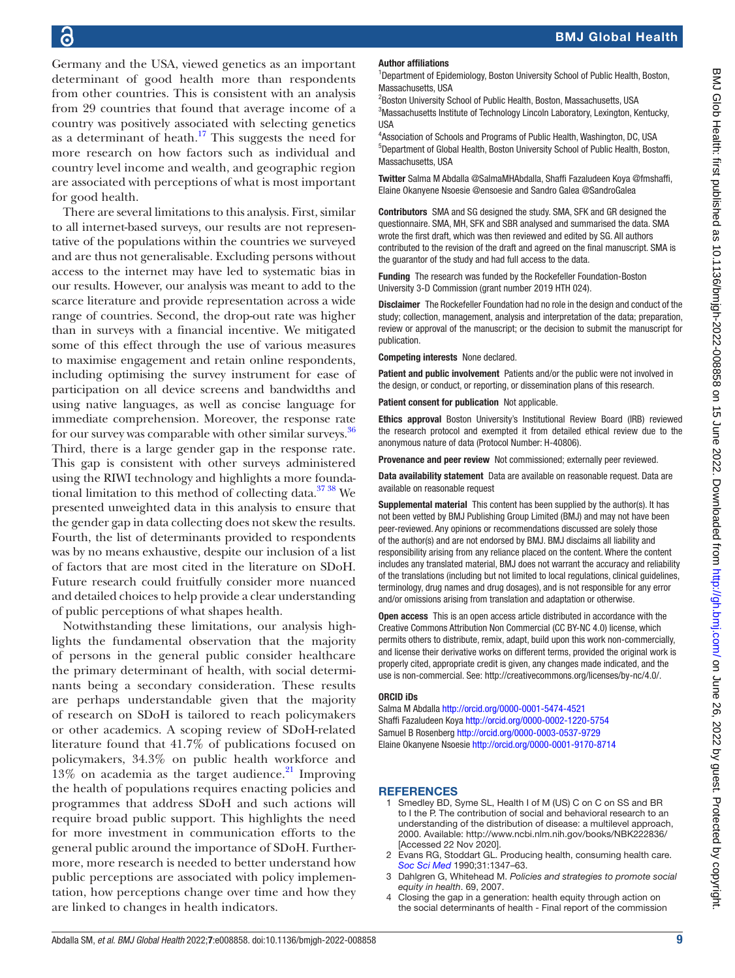Germany and the USA, viewed genetics as an important determinant of good health more than respondents from other countries. This is consistent with an analysis from 29 countries that found that average income of a country was positively associated with selecting genetics as a determinant of heath. $17$  This suggests the need for more research on how factors such as individual and country level income and wealth, and geographic region are associated with perceptions of what is most important for good health.

There are several limitations to this analysis. First, similar to all internet-based surveys, our results are not representative of the populations within the countries we surveyed and are thus not generalisable. Excluding persons without access to the internet may have led to systematic bias in our results. However, our analysis was meant to add to the scarce literature and provide representation across a wide range of countries. Second, the drop-out rate was higher than in surveys with a financial incentive. We mitigated some of this effect through the use of various measures to maximise engagement and retain online respondents, including optimising the survey instrument for ease of participation on all device screens and bandwidths and using native languages, as well as concise language for immediate comprehension. Moreover, the response rate for our survey was comparable with other similar surveys.<sup>[36](#page-9-15)</sup> Third, there is a large gender gap in the response rate. This gap is consistent with other surveys administered using the RIWI technology and highlights a more foundational limitation to this method of collecting data. $3738$  We presented unweighted data in this analysis to ensure that the gender gap in data collecting does not skew the results. Fourth, the list of determinants provided to respondents was by no means exhaustive, despite our inclusion of a list of factors that are most cited in the literature on SDoH. Future research could fruitfully consider more nuanced and detailed choices to help provide a clear understanding of public perceptions of what shapes health.

Notwithstanding these limitations, our analysis highlights the fundamental observation that the majority of persons in the general public consider healthcare the primary determinant of health, with social determinants being a secondary consideration. These results are perhaps understandable given that the majority of research on SDoH is tailored to reach policymakers or other academics. A scoping review of SDoH-related literature found that 41.7% of publications focused on policymakers, 34.3% on public health workforce and 13% on academia as the target audience. $^{21}$  $^{21}$  $^{21}$  Improving the health of populations requires enacting policies and programmes that address SDoH and such actions will require broad public support. This highlights the need for more investment in communication efforts to the general public around the importance of SDoH. Furthermore, more research is needed to better understand how public perceptions are associated with policy implementation, how perceptions change over time and how they are linked to changes in health indicators.

#### Author affiliations

<sup>1</sup>Department of Epidemiology, Boston University School of Public Health, Boston, Massachusetts, USA

<sup>2</sup>Boston University School of Public Health, Boston, Massachusetts, USA <sup>3</sup>Massachusetts Institute of Technology Lincoln Laboratory, Lexington, Kentucky, **IISA** 

4 Association of Schools and Programs of Public Health, Washington, DC, USA 5 Department of Global Health, Boston University School of Public Health, Boston, Massachusetts, USA

Twitter Salma M Abdalla [@SalmaMHAbdalla,](https://twitter.com/SalmaMHAbdalla) Shaffi Fazaludeen Koya [@fmshaffi](https://twitter.com/fmshaffi), Elaine Okanyene Nsoesie [@ensoesie](https://twitter.com/ensoesie) and Sandro Galea [@SandroGalea](https://twitter.com/SandroGalea)

Contributors SMA and SG designed the study. SMA, SFK and GR designed the questionnaire. SMA, MH, SFK and SBR analysed and summarised the data. SMA wrote the first draft, which was then reviewed and edited by SG. All authors contributed to the revision of the draft and agreed on the final manuscript. SMA is the guarantor of the study and had full access to the data.

Funding The research was funded by the Rockefeller Foundation-Boston University 3-D Commission (grant number 2019 HTH 024).

Disclaimer The Rockefeller Foundation had no role in the design and conduct of the study; collection, management, analysis and interpretation of the data; preparation, review or approval of the manuscript; or the decision to submit the manuscript for publication.

Competing interests None declared.

Patient and public involvement Patients and/or the public were not involved in the design, or conduct, or reporting, or dissemination plans of this research.

Patient consent for publication Not applicable.

Ethics approval Boston University's Institutional Review Board (IRB) reviewed the research protocol and exempted it from detailed ethical review due to the anonymous nature of data (Protocol Number: H-40806).

Provenance and peer review Not commissioned; externally peer reviewed.

Data availability statement Data are available on reasonable request. Data are available on reasonable request

Supplemental material This content has been supplied by the author(s). It has not been vetted by BMJ Publishing Group Limited (BMJ) and may not have been peer-reviewed. Any opinions or recommendations discussed are solely those of the author(s) and are not endorsed by BMJ. BMJ disclaims all liability and responsibility arising from any reliance placed on the content. Where the content includes any translated material, BMJ does not warrant the accuracy and reliability of the translations (including but not limited to local regulations, clinical guidelines, terminology, drug names and drug dosages), and is not responsible for any error and/or omissions arising from translation and adaptation or otherwise.

Open access This is an open access article distributed in accordance with the Creative Commons Attribution Non Commercial (CC BY-NC 4.0) license, which permits others to distribute, remix, adapt, build upon this work non-commercially, and license their derivative works on different terms, provided the original work is properly cited, appropriate credit is given, any changes made indicated, and the use is non-commercial. See:<http://creativecommons.org/licenses/by-nc/4.0/>.

#### ORCID iDs

Salma M Abdalla <http://orcid.org/0000-0001-5474-4521> Shaffi Fazaludeen Koya<http://orcid.org/0000-0002-1220-5754> Samuel B Rosenberg <http://orcid.org/0000-0003-0537-9729> Elaine Okanyene Nsoesie<http://orcid.org/0000-0001-9170-8714>

#### **REFERENCES**

- <span id="page-8-0"></span>Smedley BD, Syme SL, Health I of M (US) C on C on SS and BR to I the P. The contribution of social and behavioral research to an understanding of the distribution of disease: a multilevel approach, 2000. Available: <http://www.ncbi.nlm.nih.gov/books/NBK222836/> [Accessed 22 Nov 2020].
- 2 Evans RG, Stoddart GL. Producing health, consuming health care. *[Soc Sci Med](http://dx.doi.org/10.1016/0277-9536(90)90074-3)* 1990;31:1347–63.
- 3 Dahlgren G, Whitehead M. *Policies and strategies to promote social equity in health*. 69, 2007.
- <span id="page-8-1"></span>Closing the gap in a generation: health equity through action on the social determinants of health - Final report of the commission